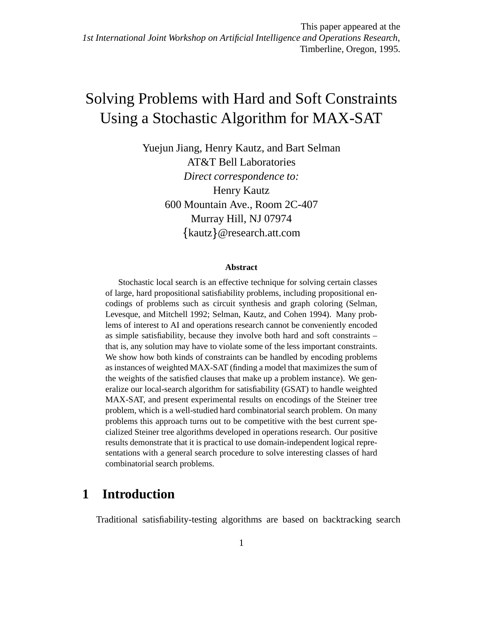# Solving Problems with Hard and Soft Constraints Using a Stochastic Algorithm for MAX-SAT

Yuejun Jiang, Henry Kautz, and Bart Selman AT&T Bell Laboratories *Direct correspondence to:* Henry Kautz 600 Mountain Ave., Room 2C-407 Murray Hill, NJ 07974 kautz @research.att.com

#### **Abstract**

Stochastic local search is an effective technique for solving certain classes of large, hard propositional satisfiability problems, including propositional encodings of problems such as circuit synthesis and graph coloring (Selman, Levesque, and Mitchell 1992; Selman, Kautz, and Cohen 1994). Many problems of interest to AI and operations research cannot be conveniently encoded as simple satisfiability, because they involve both hard and soft constraints – that is, any solution may have to violate some of the less important constraints. We show how both kinds of constraints can be handled by encoding problems as instances of weighted MAX-SAT (finding a model that maximizes the sum of the weights of the satisfied clauses that make up a problem instance). We generalize our local-search algorithm for satisfiability (GSAT) to handle weighted MAX-SAT, and present experimental results on encodings of the Steiner tree problem, which is a well-studied hard combinatorial search problem. On many problems this approach turns out to be competitive with the best current specialized Steiner tree algorithms developed in operations research. Our positive results demonstrate that it is practical to use domain-independent logical representations with a general search procedure to solve interesting classes of hard combinatorial search problems.

# **1 Introduction**

Traditional satisfiability-testing algorithms are based on backtracking search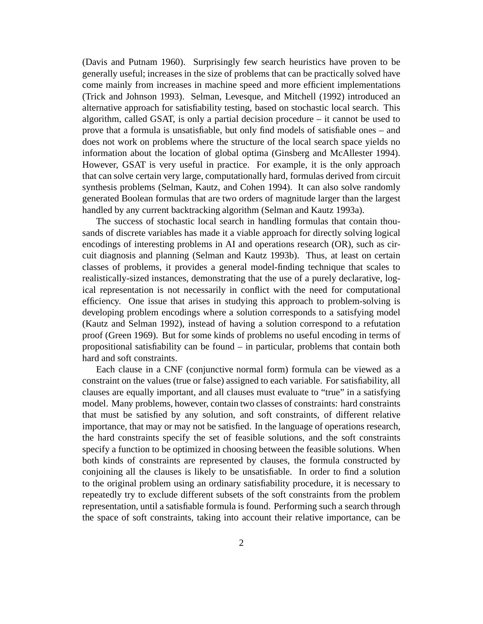(Davis and Putnam 1960). Surprisingly few search heuristics have proven to be generally useful; increases in the size of problems that can be practically solved have come mainly from increases in machine speed and more efficient implementations (Trick and Johnson 1993). Selman, Levesque, and Mitchell (1992) introduced an alternative approach for satisfiability testing, based on stochastic local search. This algorithm, called GSAT, is only a partial decision procedure – it cannot be used to prove that a formula is unsatisfiable, but only find models of satisfiable ones – and does not work on problems where the structure of the local search space yields no information about the location of global optima (Ginsberg and McAllester 1994). However, GSAT is very useful in practice. For example, it is the only approach that can solve certain very large, computationally hard, formulas derived from circuit synthesis problems (Selman, Kautz, and Cohen 1994). It can also solve randomly generated Boolean formulas that are two orders of magnitude larger than the largest handled by any current backtracking algorithm (Selman and Kautz 1993a).

The success of stochastic local search in handling formulas that contain thousands of discrete variables has made it a viable approach for directly solving logical encodings of interesting problems in AI and operations research (OR), such as circuit diagnosis and planning (Selman and Kautz 1993b). Thus, at least on certain classes of problems, it provides a general model-finding technique that scales to realistically-sized instances, demonstrating that the use of a purely declarative, logical representation is not necessarily in conflict with the need for computational efficiency. One issue that arises in studying this approach to problem-solving is developing problem encodings where a solution corresponds to a satisfying model (Kautz and Selman 1992), instead of having a solution correspond to a refutation proof (Green 1969). But for some kinds of problems no useful encoding in terms of propositional satisfiability can be found – in particular, problems that contain both hard and soft constraints.

Each clause in a CNF (conjunctive normal form) formula can be viewed as a constraint on the values (true or false) assigned to each variable. For satisfiability, all clauses are equally important, and all clauses must evaluate to "true" in a satisfying model. Many problems, however, contain two classes of constraints: hard constraints that must be satisfied by any solution, and soft constraints, of different relative importance, that may or may not be satisfied. In the language of operations research, the hard constraints specify the set of feasible solutions, and the soft constraints specify a function to be optimized in choosing between the feasible solutions. When both kinds of constraints are represented by clauses, the formula constructed by conjoining all the clauses is likely to be unsatisfiable. In order to find a solution to the original problem using an ordinary satisfiability procedure, it is necessary to repeatedly try to exclude different subsets of the soft constraints from the problem representation, until a satisfiable formula is found. Performing such a search through the space of soft constraints, taking into account their relative importance, can be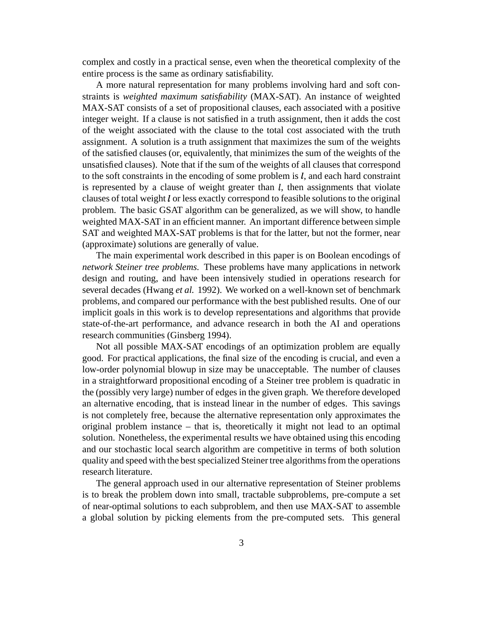complex and costly in a practical sense, even when the theoretical complexity of the entire process is the same as ordinary satisfiability.

A more natural representation for many problems involving hard and soft constraints is *weighted maximum satisfiability* (MAX-SAT). An instance of weighted MAX-SAT consists of a set of propositional clauses, each associated with a positive integer weight. If a clause is not satisfied in a truth assignment, then it adds the cost of the weight associated with the clause to the total cost associated with the truth assignment. A solution is a truth assignment that maximizes the sum of the weights of the satisfied clauses (or, equivalently, that minimizes the sum of the weights of the unsatisfied clauses). Note that if the sum of the weights of all clauses that correspond to the soft constraints in the encoding of some problem is  $l$ , and each hard constraint is represented by a clause of weight greater than  $l$ , then assignments that violate clauses of total weight  $l$  or less exactly correspond to feasible solutions to the original problem. The basic GSAT algorithm can be generalized, as we will show, to handle weighted MAX-SAT in an efficient manner. An important difference between simple SAT and weighted MAX-SAT problems is that for the latter, but not the former, near (approximate) solutions are generally of value.

The main experimental work described in this paper is on Boolean encodings of *network Steiner tree problems*. These problems have many applications in network design and routing, and have been intensively studied in operations research for several decades (Hwang *et al.* 1992). We worked on a well-known set of benchmark problems, and compared our performance with the best published results. One of our implicit goals in this work is to develop representations and algorithms that provide state-of-the-art performance, and advance research in both the AI and operations research communities (Ginsberg 1994).

Not all possible MAX-SAT encodings of an optimization problem are equally good. For practical applications, the final size of the encoding is crucial, and even a low-order polynomial blowup in size may be unacceptable. The number of clauses in a straightforward propositional encoding of a Steiner tree problem is quadratic in the (possibly very large) number of edges in the given graph. We therefore developed an alternative encoding, that is instead linear in the number of edges. This savings is not completely free, because the alternative representation only approximates the original problem instance – that is, theoretically it might not lead to an optimal solution. Nonetheless, the experimental results we have obtained using this encoding and our stochastic local search algorithm are competitive in terms of both solution quality and speed with the best specialized Steiner tree algorithms from the operations research literature.

The general approach used in our alternative representation of Steiner problems is to break the problem down into small, tractable subproblems, pre-compute a set of near-optimal solutions to each subproblem, and then use MAX-SAT to assemble a global solution by picking elements from the pre-computed sets. This general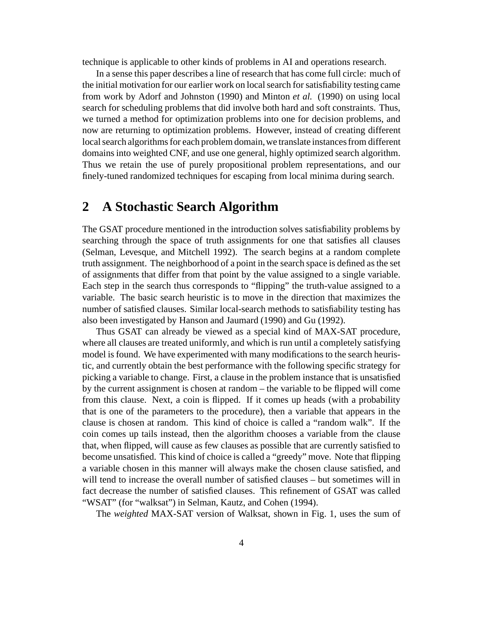technique is applicable to other kinds of problems in AI and operations research.

In a sense this paper describes a line of research that has come full circle: much of the initial motivation for our earlier work on localsearch forsatisfiability testing came from work by Adorf and Johnston (1990) and Minton *et al.* (1990) on using local search for scheduling problems that did involve both hard and soft constraints. Thus, we turned a method for optimization problems into one for decision problems, and now are returning to optimization problems. However, instead of creating different local search algorithms for each problem domain, we translate instances from different domainsinto weighted CNF, and use one general, highly optimized search algorithm. Thus we retain the use of purely propositional problem representations, and our finely-tuned randomized techniques for escaping from local minima during search.

# **2 A Stochastic Search Algorithm**

The GSAT procedure mentioned in the introduction solves satisfiability problems by searching through the space of truth assignments for one that satisfies all clauses (Selman, Levesque, and Mitchell 1992). The search begins at a random complete truth assignment. The neighborhood of a point in the search space is defined asthe set of assignments that differ from that point by the value assigned to a single variable. Each step in the search thus corresponds to "flipping" the truth-value assigned to a variable. The basic search heuristic is to move in the direction that maximizes the number of satisfied clauses. Similar local-search methods to satisfiability testing has also been investigated by Hanson and Jaumard (1990) and Gu (1992).

Thus GSAT can already be viewed as a special kind of MAX-SAT procedure, where all clauses are treated uniformly, and which is run until a completely satisfying model is found. We have experimented with many modifications to the search heuristic, and currently obtain the best performance with the following specific strategy for picking a variable to change. First, a clause in the problem instance that is unsatisfied by the current assignment is chosen at random – the variable to be flipped will come from this clause. Next, a coin is flipped. If it comes up heads (with a probability that is one of the parameters to the procedure), then a variable that appears in the clause is chosen at random. This kind of choice is called a "random walk". If the coin comes up tails instead, then the algorithm chooses a variable from the clause that, when flipped, will cause as few clauses as possible that are currently satisfied to become unsatisfied. This kind of choice is called a "greedy" move. Note that flipping a variable chosen in this manner will always make the chosen clause satisfied, and will tend to increase the overall number of satisfied clauses – but sometimes will in fact decrease the number of satisfied clauses. This refinement of GSAT was called "WSAT" (for "walksat") in Selman, Kautz, and Cohen (1994).

The *weighted* MAX-SAT version of Walksat, shown in Fig. 1, uses the sum of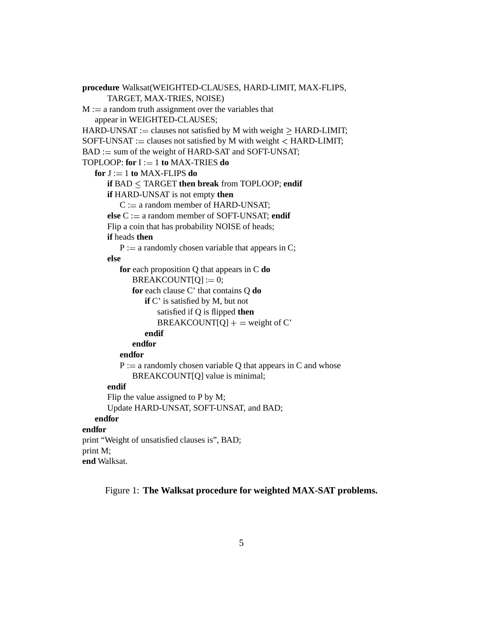```
procedure Walksat(WEIGHTED-CLAUSES, HARD-LIMIT, MAX-FLIPS,
      TARGET, MAX-TRIES, NOISE)
M := a random truth assignment over the variables that
   appear in WEIGHTED-CLAUSES;
HARD-UNSAT := clauses not satisfied by M with weight > HARD-LIMIT;
SOFT-UNSAT := clauses not satisfied by M with weight \langle HARD-LIMIT;
BAD := sum of the weight of HARD-SAT and SOFT-UNSAT;TOPLOOP: for I := 1 to MAX-TRIES do
   for J := 1 to MAX-FLIPS doif BAD \leq TARGET then break from TOPLOOP; endif
      if HARD-UNSAT is not empty then
         C := a random member of HARD-UNSAT;
      else C := a random member of SOFT-UNSAT; endif
      Flip a coin that has probability NOISE of heads;
      if heads then
         P := a randomly chosen variable that appears in C;
      else
         for each proposition Q that appears in C do
             BREAKCOUNT[Q] := 0;for each clause C' that contains Q do
                if C' is satisfied by M, but not
                   satisfied if Q is flipped then
                   BREAKCOUNT[Q] + = weight of C'
                endif
            endfor
         endfor
         P := a randomly chosen variable Q that appears in C and whose
             BREAKCOUNT[Q] value is minimal;
      endif
      Flip the value assigned to P by M;
      Update HARD-UNSAT, SOFT-UNSAT, and BAD;
   endfor
endfor
print "Weight of unsatisfied clauses is", BAD;
print M;
end Walksat.
```
Figure 1: **The Walksat procedure for weighted MAX-SAT problems.**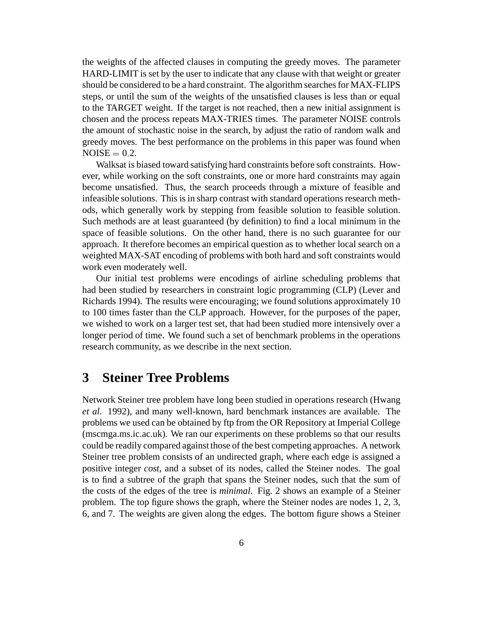the weights of the affected clauses in computing the greedy moves. The parameter HARD-LIMIT is set by the user to indicate that any clause with that weight or greater should be considered to be a hard constraint. The algorithm searches for MAX-FLIPS steps, or until the sum of the weights of the unsatisfied clauses is less than or equal to the TARGET weight. If the target is not reached, then a new initial assignment is chosen and the process repeats MAX-TRIES times. The parameter NOISE controls the amount of stochastic noise in the search, by adjust the ratio of random walk and greedy moves. The best performance on the problems in this paper was found when  $\text{NOISE} = 0.2.$ 

Walksat is biased toward satisfying hard constraints before soft constraints. However, while working on the soft constraints, one or more hard constraints may again become unsatisfied. Thus, the search proceeds through a mixture of feasible and infeasible solutions. This is in sharp contrast with standard operations research methods, which generally work by stepping from feasible solution to feasible solution. Such methods are at least guaranteed (by definition) to find a local minimum in the space of feasible solutions. On the other hand, there is no such guarantee for our approach. It therefore becomes an empirical question as to whether local search on a weighted MAX-SAT encoding of problems with both hard and soft constraints would work even moderately well.

Our initial test problems were encodings of airline scheduling problems that had been studied by researchers in constraint logic programming (CLP) (Lever and Richards 1994). The results were encouraging; we found solutions approximately 10 to 100 times faster than the CLP approach. However, for the purposes of the paper, we wished to work on a larger test set, that had been studied more intensively over a longer period of time. We found such a set of benchmark problems in the operations research community, as we describe in the next section.

### **3 Steiner Tree Problems**

Network Steiner tree problem have long been studied in operations research (Hwang *et al.* 1992), and many well-known, hard benchmark instances are available. The problems we used can be obtained by ftp from the OR Repository at Imperial College (mscmga.ms.ic.ac.uk). We ran our experiments on these problems so that our results could be readily compared against those of the best competing approaches. A network Steiner tree problem consists of an undirected graph, where each edge is assigned a positive integer *cost*, and a subset of its nodes, called the Steiner nodes. The goal is to find a subtree of the graph that spans the Steiner nodes, such that the sum of the costs of the edges of the tree is *minimal*. Fig. 2 shows an example of a Steiner problem. The top figure shows the graph, where the Steiner nodes are nodes 1, 2, 3, 6, and 7. The weights are given along the edges. The bottom figure shows a Steiner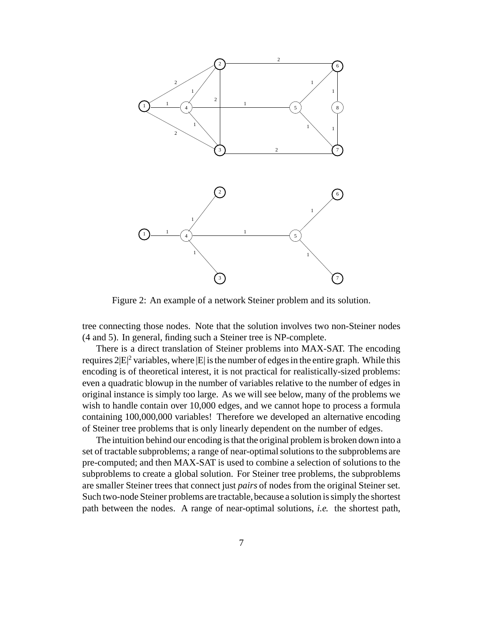

Figure 2: An example of a network Steiner problem and its solution.

tree connecting those nodes. Note that the solution involves two non-Steiner nodes (4 and 5). In general, finding such a Steiner tree is NP-complete.

There is a direct translation of Steiner problems into MAX-SAT. The encoding requires  $2|E|^2$  variables, where  $|E|$  is the number of edges in the entire graph. While this encoding is of theoretical interest, it is not practical for realistically-sized problems: even a quadratic blowup in the number of variables relative to the number of edges in original instance is simply too large. As we will see below, many of the problems we wish to handle contain over 10,000 edges, and we cannot hope to process a formula containing 100,000,000 variables! Therefore we developed an alternative encoding of Steiner tree problems that is only linearly dependent on the number of edges.

The intuition behind our encoding isthat the original problem is broken down into a set of tractable subproblems; a range of near-optimal solutions to the subproblems are pre-computed; and then MAX-SAT is used to combine a selection of solutions to the subproblems to create a global solution. For Steiner tree problems, the subproblems are smaller Steiner trees that connect just *pairs* of nodes from the original Steiner set. Such two-node Steiner problems are tractable, because a solution is simply the shortest path between the nodes. A range of near-optimal solutions, *i.e.* the shortest path,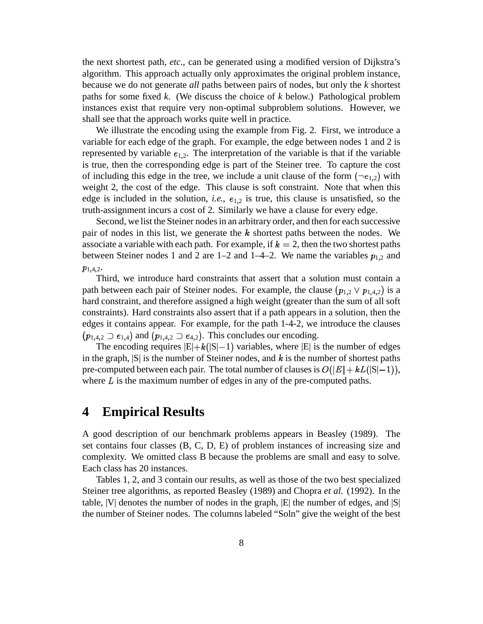the next shortest path, *etc.*, can be generated using a modified version of Dijkstra's algorithm. This approach actually only approximates the original problem instance, because we do not generate *all* paths between pairs of nodes, but only the *k* shortest paths for some fixed *k*. (We discuss the choice of *k* below.) Pathological problem instances exist that require very non-optimal subproblem solutions. However, we shall see that the approach works quite well in practice.

We illustrate the encoding using the example from Fig. 2. First, we introduce a variable for each edge of the graph. For example, the edge between nodes 1 and 2 is represented by variable  $\epsilon_{1,2}$ . The interpretation of the variable is that if the variable is true, then the corresponding edge is part of the Steiner tree. To capture the cost of including this edge in the tree, we include a unit clause of the form  $(\neg e_{1,2})$  with weight 2, the cost of the edge. This clause is soft constraint. Note that when this edge is included in the solution, *i.e.*,  $e_{1,2}$  is true, this clause is unsatisfied, so the truth-assignment incurs a cost of 2. Similarly we have a clause for every edge.

Second, we list the Steiner nodesin an arbitrary order, and then for each successive pair of nodes in this list, we generate the  $k$  shortest paths between the nodes. We associate a variable with each path. For example, if  $k = 2$ , then the two shortest paths between Steiner nodes 1 and 2 are 1–2 and 1–4–2. We name the variables  $p_{1,2}$  and  $p_{1,4,2}$ .

Third, we introduce hard constraints that assert that a solution must contain a path between each pair of Steiner nodes. For example, the clause  $(p_{1,2} \vee p_{1,4,2})$  is a hard constraint, and therefore assigned a high weight (greater than the sum of all soft constraints). Hard constraints also assert that if a path appears in a solution, then the edges it contains appear. For example, for the path 1-4-2, we introduce the clauses  $(p_{1,4,2} \supset e_{1,4})$  and  $(p_{1,4,2} \supset e_{4,2})$ . This concludes our encoding.

The encoding requires  $|E|+k(|S|-1)$  variables, where  $|E|$  is the number of edges in the graph,  $|S|$  is the number of Steiner nodes, and k is the number of shortest paths pre-computed between each pair. The total number of clauses is  $O(|E|+ kL(|S|-1))$ , where  $L$  is the maximum number of edges in any of the pre-computed paths.

### **4 Empirical Results**

A good description of our benchmark problems appears in Beasley (1989). The set contains four classes (B, C, D, E) of problem instances of increasing size and complexity. We omitted class B because the problems are small and easy to solve. Each class has 20 instances.

Tables 1, 2, and 3 contain our results, as well as those of the two best specialized Steiner tree algorithms, as reported Beasley (1989) and Chopra *et al.* (1992). In the table,  $|V|$  denotes the number of nodes in the graph,  $|E|$  the number of edges, and  $|S|$ the number of Steiner nodes. The columns labeled "Soln" give the weight of the best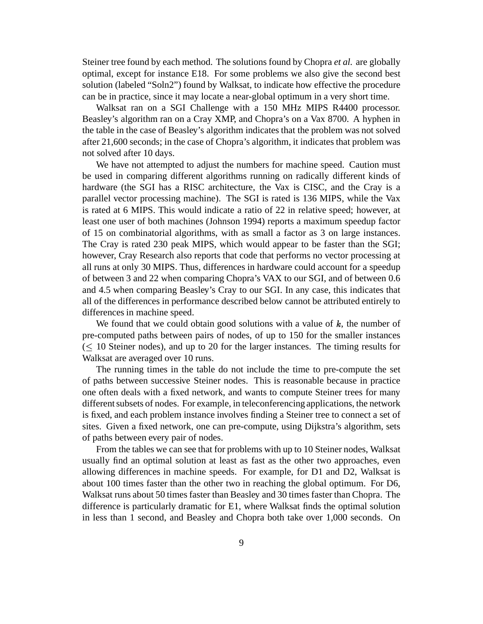Steiner tree found by each method. The solutions found by Chopra *et al.* are globally optimal, except for instance E18. For some problems we also give the second best solution (labeled "Soln2") found by Walksat, to indicate how effective the procedure can be in practice, since it may locate a near-global optimum in a very short time.

Walksat ran on a SGI Challenge with a 150 MHz MIPS R4400 processor. Beasley's algorithm ran on a Cray XMP, and Chopra's on a Vax 8700. A hyphen in the table in the case of Beasley's algorithm indicates that the problem was not solved after 21,600 seconds; in the case of Chopra's algorithm, it indicates that problem was not solved after 10 days.

We have not attempted to adjust the numbers for machine speed. Caution must be used in comparing different algorithms running on radically different kinds of hardware (the SGI has a RISC architecture, the Vax is CISC, and the Cray is a parallel vector processing machine). The SGI is rated is 136 MIPS, while the Vax is rated at 6 MIPS. This would indicate a ratio of 22 in relative speed; however, at least one user of both machines (Johnson 1994) reports a maximum speedup factor of 15 on combinatorial algorithms, with as small a factor as 3 on large instances. The Cray is rated 230 peak MIPS, which would appear to be faster than the SGI; however, Cray Research also reports that code that performs no vector processing at all runs at only 30 MIPS. Thus, differences in hardware could account for a speedup of between 3 and 22 when comparing Chopra's VAX to our SGI, and of between 0.6 and 4.5 when comparing Beasley's Cray to our SGI. In any case, this indicates that all of the differences in performance described below cannot be attributed entirely to differences in machine speed.

We found that we could obtain good solutions with a value of  $k$ , the number of pre-computed paths between pairs of nodes, of up to 150 for the smaller instances  $(\leq 10$  Steiner nodes), and up to 20 for the larger instances. The timing results for Walksat are averaged over 10 runs.

The running times in the table do not include the time to pre-compute the set of paths between successive Steiner nodes. This is reasonable because in practice one often deals with a fixed network, and wants to compute Steiner trees for many different subsets of nodes. For example, in teleconferencing applications, the network is fixed, and each problem instance involves finding a Steiner tree to connect a set of sites. Given a fixed network, one can pre-compute, using Dijkstra's algorithm, sets of paths between every pair of nodes.

From the tables we can see that for problems with up to 10 Steiner nodes, Walksat usually find an optimal solution at least as fast as the other two approaches, even allowing differences in machine speeds. For example, for D1 and D2, Walksat is about 100 times faster than the other two in reaching the global optimum. For D6, Walksat runs about 50 times faster than Beasley and 30 times faster than Chopra. The difference is particularly dramatic for E1, where Walksat finds the optimal solution in less than 1 second, and Beasley and Chopra both take over 1,000 seconds. On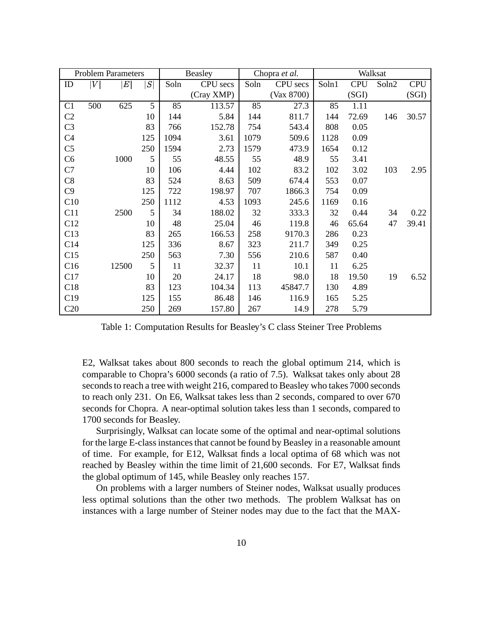| <b>Problem Parameters</b> |                  |                  | <b>Beasley</b> |      | Chopra et al. |      | Walksat    |       |            |       |            |
|---------------------------|------------------|------------------|----------------|------|---------------|------|------------|-------|------------|-------|------------|
| ID                        | $\boldsymbol{V}$ | $\boldsymbol{E}$ | S              | Soln | CPU secs      | Soln | CPU secs   | Soln1 | <b>CPU</b> | Soln2 | <b>CPU</b> |
|                           |                  |                  |                |      | (Cray XMP)    |      | (Vax 8700) |       | (SGI)      |       | (SGI)      |
| C <sub>1</sub>            | 500              | 625              | 5              | 85   | 113.57        | 85   | 27.3       | 85    | 1.11       |       |            |
| C2                        |                  |                  | 10             | 144  | 5.84          | 144  | 811.7      | 144   | 72.69      | 146   | 30.57      |
| C <sub>3</sub>            |                  |                  | 83             | 766  | 152.78        | 754  | 543.4      | 808   | 0.05       |       |            |
| C <sub>4</sub>            |                  |                  | 125            | 1094 | 3.61          | 1079 | 509.6      | 1128  | 0.09       |       |            |
| C <sub>5</sub>            |                  |                  | 250            | 1594 | 2.73          | 1579 | 473.9      | 1654  | 0.12       |       |            |
| C6                        |                  | 1000             | 5              | 55   | 48.55         | 55   | 48.9       | 55    | 3.41       |       |            |
| C7                        |                  |                  | 10             | 106  | 4.44          | 102  | 83.2       | 102   | 3.02       | 103   | 2.95       |
| C8                        |                  |                  | 83             | 524  | 8.63          | 509  | 674.4      | 553   | 0.07       |       |            |
| C9                        |                  |                  | 125            | 722  | 198.97        | 707  | 1866.3     | 754   | 0.09       |       |            |
| C10                       |                  |                  | 250            | 1112 | 4.53          | 1093 | 245.6      | 1169  | 0.16       |       |            |
| C11                       |                  | 2500             | 5              | 34   | 188.02        | 32   | 333.3      | 32    | 0.44       | 34    | 0.22       |
| C12                       |                  |                  | 10             | 48   | 25.04         | 46   | 119.8      | 46    | 65.64      | 47    | 39.41      |
| C13                       |                  |                  | 83             | 265  | 166.53        | 258  | 9170.3     | 286   | 0.23       |       |            |
| C14                       |                  |                  | 125            | 336  | 8.67          | 323  | 211.7      | 349   | 0.25       |       |            |
| C15                       |                  |                  | 250            | 563  | 7.30          | 556  | 210.6      | 587   | 0.40       |       |            |
| C16                       |                  | 12500            | 5              | 11   | 32.37         | 11   | 10.1       | 11    | 6.25       |       |            |
| C17                       |                  |                  | 10             | 20   | 24.17         | 18   | 98.0       | 18    | 19.50      | 19    | 6.52       |
| C18                       |                  |                  | 83             | 123  | 104.34        | 113  | 45847.7    | 130   | 4.89       |       |            |
| C19                       |                  |                  | 125            | 155  | 86.48         | 146  | 116.9      | 165   | 5.25       |       |            |
| C20                       |                  |                  | 250            | 269  | 157.80        | 267  | 14.9       | 278   | 5.79       |       |            |

Table 1: Computation Results for Beasley's C class Steiner Tree Problems

E2, Walksat takes about 800 seconds to reach the global optimum 214, which is comparable to Chopra's 6000 seconds (a ratio of 7.5). Walksat takes only about 28 seconds to reach a tree with weight 216, compared to Beasley who takes 7000 seconds to reach only 231. On E6, Walksat takes less than 2 seconds, compared to over 670 seconds for Chopra. A near-optimal solution takes less than 1 seconds, compared to 1700 seconds for Beasley.

Surprisingly, Walksat can locate some of the optimal and near-optimal solutions for the large E-class instances that cannot be found by Beasley in a reasonable amount of time. For example, for E12, Walksat finds a local optima of 68 which was not reached by Beasley within the time limit of 21,600 seconds. For E7, Walksat finds the global optimum of 145, while Beasley only reaches 157.

On problems with a larger numbers of Steiner nodes, Walksat usually produces less optimal solutions than the other two methods. The problem Walksat has on instances with a large number of Steiner nodes may due to the fact that the MAX-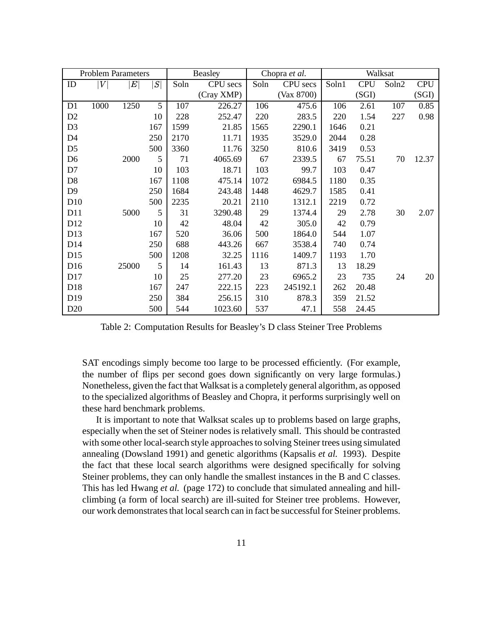| <b>Problem Parameters</b> |      |                   |     | Beasley |            | Chopra et al. |            | Walksat |            |       |            |
|---------------------------|------|-------------------|-----|---------|------------|---------------|------------|---------|------------|-------|------------|
| ID                        | V    | $\left  E\right $ | S   | Soln    | CPU secs   | Soln          | CPU secs   | Soln1   | <b>CPU</b> | Soln2 | <b>CPU</b> |
|                           |      |                   |     |         | (Cray XMP) |               | (Var 8700) |         | (SGI)      |       | (SGI)      |
| D1                        | 1000 | 1250              | 5   | 107     | 226.27     | 106           | 475.6      | 106     | 2.61       | 107   | 0.85       |
| D <sub>2</sub>            |      |                   | 10  | 228     | 252.47     | 220           | 283.5      | 220     | 1.54       | 227   | 0.98       |
| D <sub>3</sub>            |      |                   | 167 | 1599    | 21.85      | 1565          | 2290.1     | 1646    | 0.21       |       |            |
| D4                        |      |                   | 250 | 2170    | 11.71      | 1935          | 3529.0     | 2044    | 0.28       |       |            |
| D <sub>5</sub>            |      |                   | 500 | 3360    | 11.76      | 3250          | 810.6      | 3419    | 0.53       |       |            |
| D <sub>6</sub>            |      | 2000              | 5   | 71      | 4065.69    | 67            | 2339.5     | 67      | 75.51      | 70    | 12.37      |
| D7                        |      |                   | 10  | 103     | 18.71      | 103           | 99.7       | 103     | 0.47       |       |            |
| D <sub>8</sub>            |      |                   | 167 | 1108    | 475.14     | 1072          | 6984.5     | 1180    | 0.35       |       |            |
| D <sub>9</sub>            |      |                   | 250 | 1684    | 243.48     | 1448          | 4629.7     | 1585    | 0.41       |       |            |
| D10                       |      |                   | 500 | 2235    | 20.21      | 2110          | 1312.1     | 2219    | 0.72       |       |            |
| D11                       |      | 5000              | 5   | 31      | 3290.48    | 29            | 1374.4     | 29      | 2.78       | 30    | 2.07       |
| D12                       |      |                   | 10  | 42      | 48.04      | 42            | 305.0      | 42      | 0.79       |       |            |
| D13                       |      |                   | 167 | 520     | 36.06      | 500           | 1864.0     | 544     | 1.07       |       |            |
| D <sub>14</sub>           |      |                   | 250 | 688     | 443.26     | 667           | 3538.4     | 740     | 0.74       |       |            |
| D15                       |      |                   | 500 | 1208    | 32.25      | 1116          | 1409.7     | 1193    | 1.70       |       |            |
| D16                       |      | 25000             | 5   | 14      | 161.43     | 13            | 871.3      | 13      | 18.29      |       |            |
| D17                       |      |                   | 10  | 25      | 277.20     | 23            | 6965.2     | 23      | 735        | 24    | 20         |
| D18                       |      |                   | 167 | 247     | 222.15     | 223           | 245192.1   | 262     | 20.48      |       |            |
| D <sub>19</sub>           |      |                   | 250 | 384     | 256.15     | 310           | 878.3      | 359     | 21.52      |       |            |
| D <sub>20</sub>           |      |                   | 500 | 544     | 1023.60    | 537           | 47.1       | 558     | 24.45      |       |            |

Table 2: Computation Results for Beasley's D class Steiner Tree Problems

SAT encodings simply become too large to be processed efficiently. (For example, the number of flips per second goes down significantly on very large formulas.) Nonetheless, given the fact that Walksat is a completely general algorithm, as opposed to the specialized algorithms of Beasley and Chopra, it performs surprisingly well on these hard benchmark problems.

It is important to note that Walksat scales up to problems based on large graphs, especially when the set of Steiner nodes isrelatively small. This should be contrasted with some other local-search style approaches to solving Steiner trees using simulated annealing (Dowsland 1991) and genetic algorithms (Kapsalis *et al.* 1993). Despite the fact that these local search algorithms were designed specifically for solving Steiner problems, they can only handle the smallest instances in the B and C classes. This has led Hwang *et al.* (page 172) to conclude that simulated annealing and hillclimbing (a form of local search) are ill-suited for Steiner tree problems. However, our work demonstrates that local search can in fact be successful for Steiner problems.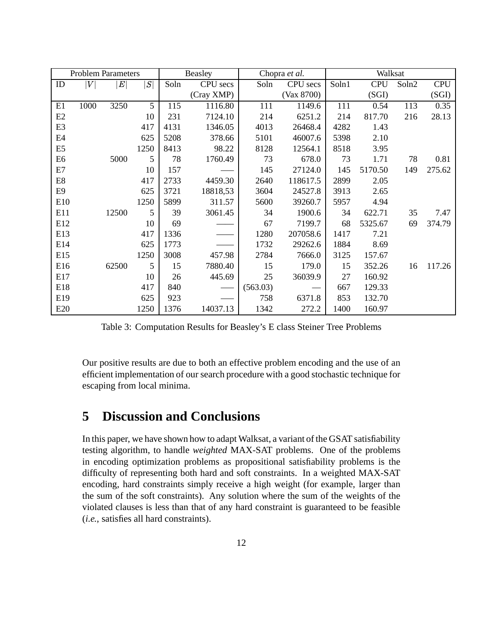| <b>Problem Parameters</b> |      |                  |      | Beasley |            | Chopra et al. |            | Walksat |            |       |            |
|---------------------------|------|------------------|------|---------|------------|---------------|------------|---------|------------|-------|------------|
| ID                        | V    | $\boldsymbol{E}$ | S    | Soln    | CPU secs   | Soln          | CPU secs   | Soln1   | <b>CPU</b> | Soln2 | <b>CPU</b> |
|                           |      |                  |      |         | (Cray XMP) |               | (Var 8700) |         | (SGI)      |       | (SGI)      |
| E1                        | 1000 | 3250             | 5    | 115     | 1116.80    | 111           | 1149.6     | 111     | 0.54       | 113   | 0.35       |
| E2                        |      |                  | 10   | 231     | 7124.10    | 214           | 6251.2     | 214     | 817.70     | 216   | 28.13      |
| E <sub>3</sub>            |      |                  | 417  | 4131    | 1346.05    | 4013          | 26468.4    | 4282    | 1.43       |       |            |
| E4                        |      |                  | 625  | 5208    | 378.66     | 5101          | 46007.6    | 5398    | 2.10       |       |            |
| E <sub>5</sub>            |      |                  | 1250 | 8413    | 98.22      | 8128          | 12564.1    | 8518    | 3.95       |       |            |
| E <sub>6</sub>            |      | 5000             | 5    | 78      | 1760.49    | 73            | 678.0      | 73      | 1.71       | 78    | 0.81       |
| E7                        |      |                  | 10   | 157     |            | 145           | 27124.0    | 145     | 5170.50    | 149   | 275.62     |
| E8                        |      |                  | 417  | 2733    | 4459.30    | 2640          | 118617.5   | 2899    | 2.05       |       |            |
| E <sub>9</sub>            |      |                  | 625  | 3721    | 18818,53   | 3604          | 24527.8    | 3913    | 2.65       |       |            |
| E10                       |      |                  | 1250 | 5899    | 311.57     | 5600          | 39260.7    | 5957    | 4.94       |       |            |
| E11                       |      | 12500            | 5    | 39      | 3061.45    | 34            | 1900.6     | 34      | 622.71     | 35    | 7.47       |
| E12                       |      |                  | 10   | 69      |            | 67            | 7199.7     | 68      | 5325.67    | 69    | 374.79     |
| E13                       |      |                  | 417  | 1336    |            | 1280          | 207058.6   | 1417    | 7.21       |       |            |
| E14                       |      |                  | 625  | 1773    |            | 1732          | 29262.6    | 1884    | 8.69       |       |            |
| E15                       |      |                  | 1250 | 3008    | 457.98     | 2784          | 7666.0     | 3125    | 157.67     |       |            |
| E16                       |      | 62500            | 5    | 15      | 7880.40    | 15            | 179.0      | 15      | 352.26     | 16    | 117.26     |
| E17                       |      |                  | 10   | 26      | 445.69     | 25            | 36039.9    | 27      | 160.92     |       |            |
| E18                       |      |                  | 417  | 840     |            | (563.03)      |            | 667     | 129.33     |       |            |
| E19                       |      |                  | 625  | 923     |            | 758           | 6371.8     | 853     | 132.70     |       |            |
| E20                       |      |                  | 1250 | 1376    | 14037.13   | 1342          | 272.2      | 1400    | 160.97     |       |            |

Table 3: Computation Results for Beasley's E class Steiner Tree Problems

Our positive results are due to both an effective problem encoding and the use of an efficient implementation of our search procedure with a good stochastic technique for escaping from local minima.

# **5 Discussion and Conclusions**

In this paper, we have shown how to adapt Walksat, a variant of the GSAT satisfiability testing algorithm, to handle *weighted* MAX-SAT problems. One of the problems in encoding optimization problems as propositional satisfiability problems is the difficulty of representing both hard and soft constraints. In a weighted MAX-SAT encoding, hard constraints simply receive a high weight (for example, larger than the sum of the soft constraints). Any solution where the sum of the weights of the violated clauses is less than that of any hard constraint is guaranteed to be feasible (*i.e.*, satisfies all hard constraints).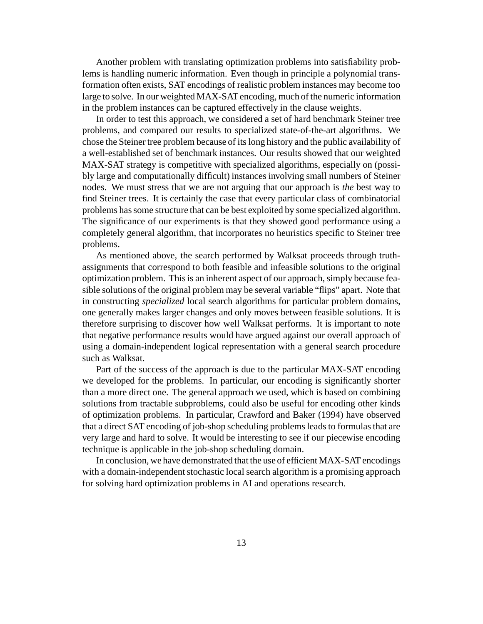Another problem with translating optimization problems into satisfiability problems is handling numeric information. Even though in principle a polynomial transformation often exists, SAT encodings of realistic problem instances may become too large to solve. In our weighted MAX-SATencoding, much of the numeric information in the problem instances can be captured effectively in the clause weights.

In order to test this approach, we considered a set of hard benchmark Steiner tree problems, and compared our results to specialized state-of-the-art algorithms. We chose the Steiner tree problem because of its long history and the public availability of a well-established set of benchmark instances. Our results showed that our weighted MAX-SAT strategy is competitive with specialized algorithms, especially on (possibly large and computationally difficult) instances involving small numbers of Steiner nodes. We must stress that we are not arguing that our approach is *the* best way to find Steiner trees. It is certainly the case that every particular class of combinatorial problems hassome structure that can be best exploited by some specialized algorithm. The significance of our experiments is that they showed good performance using a completely general algorithm, that incorporates no heuristics specific to Steiner tree problems.

As mentioned above, the search performed by Walksat proceeds through truthassignments that correspond to both feasible and infeasible solutions to the original optimization problem. This is an inherent aspect of our approach, simply because feasible solutions of the original problem may be several variable "flips" apart. Note that in constructing *specialized* local search algorithms for particular problem domains, one generally makes larger changes and only moves between feasible solutions. It is therefore surprising to discover how well Walksat performs. It is important to note that negative performance results would have argued against our overall approach of using a domain-independent logical representation with a general search procedure such as Walksat.

Part of the success of the approach is due to the particular MAX-SAT encoding we developed for the problems. In particular, our encoding is significantly shorter than a more direct one. The general approach we used, which is based on combining solutions from tractable subproblems, could also be useful for encoding other kinds of optimization problems. In particular, Crawford and Baker (1994) have observed that a direct SAT encoding of job-shop scheduling problems leads to formulas that are very large and hard to solve. It would be interesting to see if our piecewise encoding technique is applicable in the job-shop scheduling domain.

In conclusion, we have demonstrated that the use of efficient MAX-SATencodings with a domain-independent stochastic local search algorithm is a promising approach for solving hard optimization problems in AI and operations research.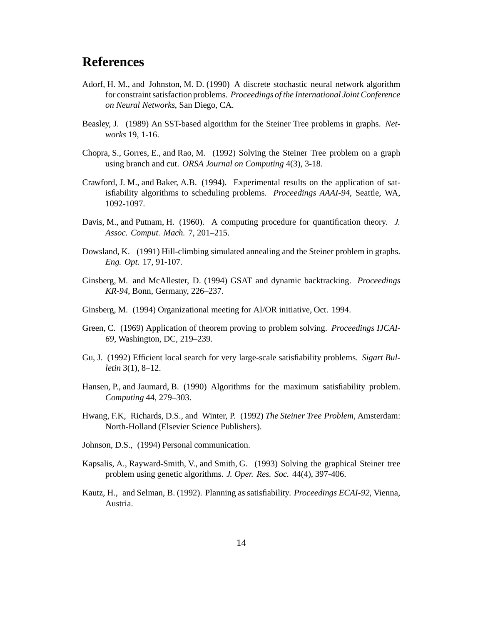# **References**

- Adorf, H. M., and Johnston, M. D. (1990) A discrete stochastic neural network algorithm for constraintsatisfaction problems. *Proceedings of the International Joint Conference on Neural Networks*, San Diego, CA.
- Beasley, J. (1989) An SST-based algorithm for the Steiner Tree problems in graphs. *Networks* 19, 1-16.
- Chopra, S., Gorres, E., and Rao, M. (1992) Solving the Steiner Tree problem on a graph using branch and cut. *ORSA Journal on Computing* 4(3), 3-18.
- Crawford, J. M., and Baker, A.B. (1994). Experimental results on the application of satisfiability algorithms to scheduling problems. *Proceedings AAAI-94*, Seattle, WA, 1092-1097.
- Davis, M., and Putnam, H. (1960). A computing procedure for quantification theory. *J. Assoc. Comput. Mach.* 7, 201–215.
- Dowsland, K. (1991) Hill-climbing simulated annealing and the Steiner problem in graphs. *Eng. Opt.* 17, 91-107.
- Ginsberg, M. and McAllester, D. (1994) GSAT and dynamic backtracking. *Proceedings KR-94*, Bonn, Germany, 226–237.
- Ginsberg, M. (1994) Organizational meeting for AI/OR initiative, Oct. 1994.
- Green, C. (1969) Application of theorem proving to problem solving. *Proceedings IJCAI-69*, Washington, DC, 219–239.
- Gu, J. (1992) Efficient local search for very large-scale satisfiability problems. *Sigart Bulletin* 3(1), 8–12.
- Hansen, P., and Jaumard, B. (1990) Algorithms for the maximum satisfiability problem. *Computing* 44, 279–303.
- Hwang, F.K, Richards, D.S., and Winter, P. (1992) *The Steiner Tree Problem*, Amsterdam: North-Holland (Elsevier Science Publishers).
- Johnson, D.S., (1994) Personal communication.
- Kapsalis, A., Rayward-Smith, V., and Smith, G. (1993) Solving the graphical Steiner tree problem using genetic algorithms. *J. Oper. Res. Soc.* 44(4), 397-406.
- Kautz, H., and Selman, B. (1992). Planning as satisfiability. *Proceedings ECAI-92*, Vienna, Austria.